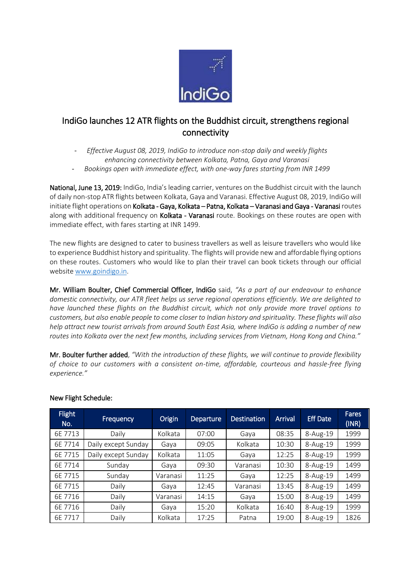

## IndiGo launches 12 ATR flights on the Buddhist circuit, strengthens regional connectivity

- *Effective August 08, 2019, IndiGo to introduce non-stop daily and weekly flights enhancing connectivity between Kolkata, Patna, Gaya and Varanasi*
- *Bookings open with immediate effect, with one-way fares starting from INR 1499*

National, June 13, 2019: IndiGo, India's leading carrier, ventures on the Buddhist circuit with the launch of daily non-stop ATR flights between Kolkata, Gaya and Varanasi. Effective August 08, 2019, IndiGo will initiate flight operations on Kolkata - Gaya, Kolkata – Patna, Kolkata – Varanasi and Gaya - Varanasi routes along with additional frequency on Kolkata - Varanasi route. Bookings on these routes are open with immediate effect, with fares starting at INR 1499.

The new flights are designed to cater to business travellers as well as leisure travellers who would like to experience Buddhist history and spirituality. The flights will provide new and affordable flying options on these routes. Customers who would like to plan their travel can book tickets through our official website [www.goindigo.in.](http://www.goindigo.in/)

Mr. William Boulter, Chief Commercial Officer, IndiGo said, *"As a part of our endeavour to enhance domestic connectivity, our ATR fleet helps us serve regional operations efficiently. We are delighted to have launched these flights on the Buddhist circuit, which not only provide more travel options to customers, but also enable people to come closer to Indian history and spirituality. These flights will also help attract new tourist arrivals from around South East Asia, where IndiGo is adding a number of new routes into Kolkata over the next few months, including services from Vietnam, Hong Kong and China."*

Mr. Boulter further added, *"With the introduction of these flights, we will continue to provide flexibility of choice to our customers with a consistent on-time, affordable, courteous and hassle-free flying experience."*

| <b>Flight</b><br>No. | Frequency           | Origin   | Departure | <b>Destination</b> | <b>Arrival</b> | <b>Eff Date</b> | <b>Fares</b><br>(INR) |
|----------------------|---------------------|----------|-----------|--------------------|----------------|-----------------|-----------------------|
| 6E 7713              | Daily               | Kolkata  | 07:00     | Gaya               | 08:35          | $8-Aug-19$      | 1999                  |
| 6E 7714              | Daily except Sunday | Gaya     | 09:05     | Kolkata            | 10:30          | 8-Aug-19        | 1999                  |
| 6E 7715              | Daily except Sunday | Kolkata  | 11:05     | Gaya               | 12:25          | 8-Aug-19        | 1999                  |
| 6E 7714              | Sunday              | Gaya     | 09:30     | Varanasi           | 10:30          | $8-Aug-19$      | 1499                  |
| 6E 7715              | Sunday              | Varanasi | 11:25     | Gaya               | 12:25          | 8-Aug-19        | 1499                  |
| 6E 7715              | Daily               | Gaya     | 12:45     | Varanasi           | 13:45          | $8-Aug-19$      | 1499                  |
| 6E 7716              | Daily               | Varanasi | 14:15     | Gaya               | 15:00          | 8-Aug-19        | 1499                  |
| 6E 7716              | Daily               | Gaya     | 15:20     | Kolkata            | 16:40          | $8-Aug-19$      | 1999                  |
| 6E 7717              | Daily               | Kolkata  | 17:25     | Patna              | 19:00          | 8-Aug-19        | 1826                  |

## New Flight Schedule: